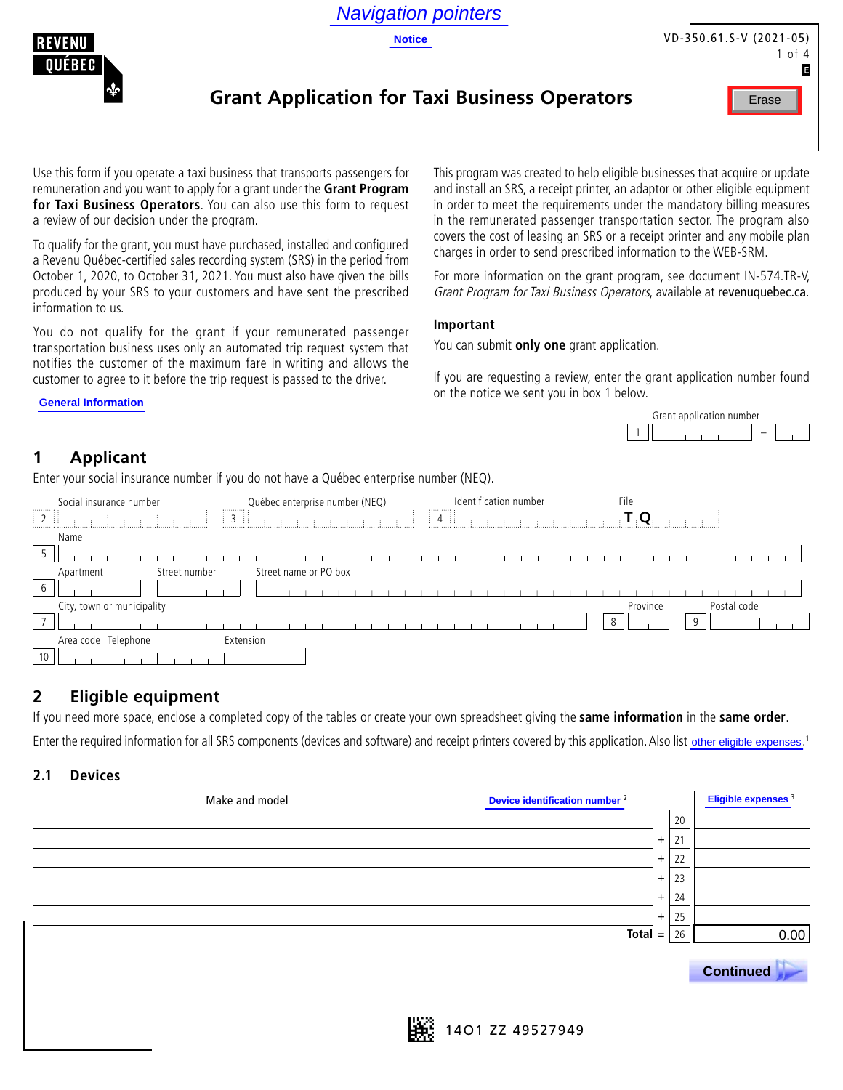

**Notice**



VD-350.61.S-V (2021-05) 1 of 4 E

## **Grant Application for Taxi Business Operators**



Use this form if you operate a taxi business that transports passengers for remuneration and you want to apply for a grant under the **Grant Program for Taxi Business Operators**. You can also use this form to request a review of our decision under the program.

To qualify for the grant, you must have purchased, installed and configured a Revenu Québec-certified sales recording system (SRS) in the period from October 1, 2020, to October 31, 2021. You must also have given the bills produced by your SRS to your customers and have sent the prescribed information to us.

You do not qualify for the grant if your remunerated passenger transportation business uses only an automated trip request system that notifies the customer of the maximum fare in writing and allows the customer to agree to it before the trip request is passed to the driver.

This program was created to help eligible businesses that acquire or update and install an SRS, a receipt printer, an adaptor or other eligible equipment in order to meet the requirements under the mandatory billing measures in the remunerated passenger transportation sector. The program also covers the cost of leasing an SRS or a receipt printer and any mobile plan charges in order to send prescribed information to the WEB-SRM.

For more information on the grant program, see document IN-574.TR-V, Grant Program for Taxi Business Operators, available at revenuquebec.ca.

#### **Important**

You can submit **only one** grant application.

If you are requesting a review, enter the grant application number found on the notice we sent you in box 1 below.



## **1 Applicant**

**General Information**

Enter your social insurance number if you do not have a Québec enterprise number (NEQ).

|                                   | Social insurance number    | Québec enterprise number (NEQ)<br>,,,,,,,,,, | Identification number<br>. | File                            |
|-----------------------------------|----------------------------|----------------------------------------------|----------------------------|---------------------------------|
| $\begin{bmatrix} 2 \end{bmatrix}$ | . .                        | $\frac{1}{2}$ 3                              | $\parallel$ 4 $\parallel$  | $\sim 1$ , $\mathbf{O}_{\odot}$ |
|                                   | Name                       |                                              |                            |                                 |
|                                   |                            |                                              |                            |                                 |
|                                   | Apartment<br>Street number | Street name or PO box                        |                            |                                 |
| b                                 |                            |                                              |                            |                                 |
|                                   | City, town or municipality |                                              |                            | Province<br>Postal code         |
| $\overline{\phantom{0}}$          |                            |                                              |                            | 8<br>$\Omega$                   |
|                                   | Area code Telephone        | Extension                                    |                            |                                 |
| 10 <sub>1</sub>                   |                            |                                              |                            |                                 |

## **2 Eligible equipment**

If you need more space, enclose a completed copy of the tables or create your own spreadsheet giving the **same information** in the **same order**.

Enter the required information for all SRS components (devices and software) and receipt printers covered by this application. Also list other eligible expenses.<sup>1</sup>

#### **2.1 Devices**

| Make and model | Device identification number <sup>2</sup> |           |    | Eligible expenses <sup>3</sup> |
|----------------|-------------------------------------------|-----------|----|--------------------------------|
|                |                                           |           | 20 |                                |
|                |                                           | $+$       | 21 |                                |
|                |                                           | $\ddot{}$ | 22 |                                |
|                |                                           | $+$       | 23 |                                |
|                |                                           | $\ddot{}$ | 24 |                                |
|                |                                           | $\ddot{}$ | 25 |                                |
|                | $Total =$                                 |           | 26 | 0.00                           |
|                |                                           |           |    |                                |
|                |                                           |           |    | <b>Continued</b>               |
|                |                                           |           |    |                                |

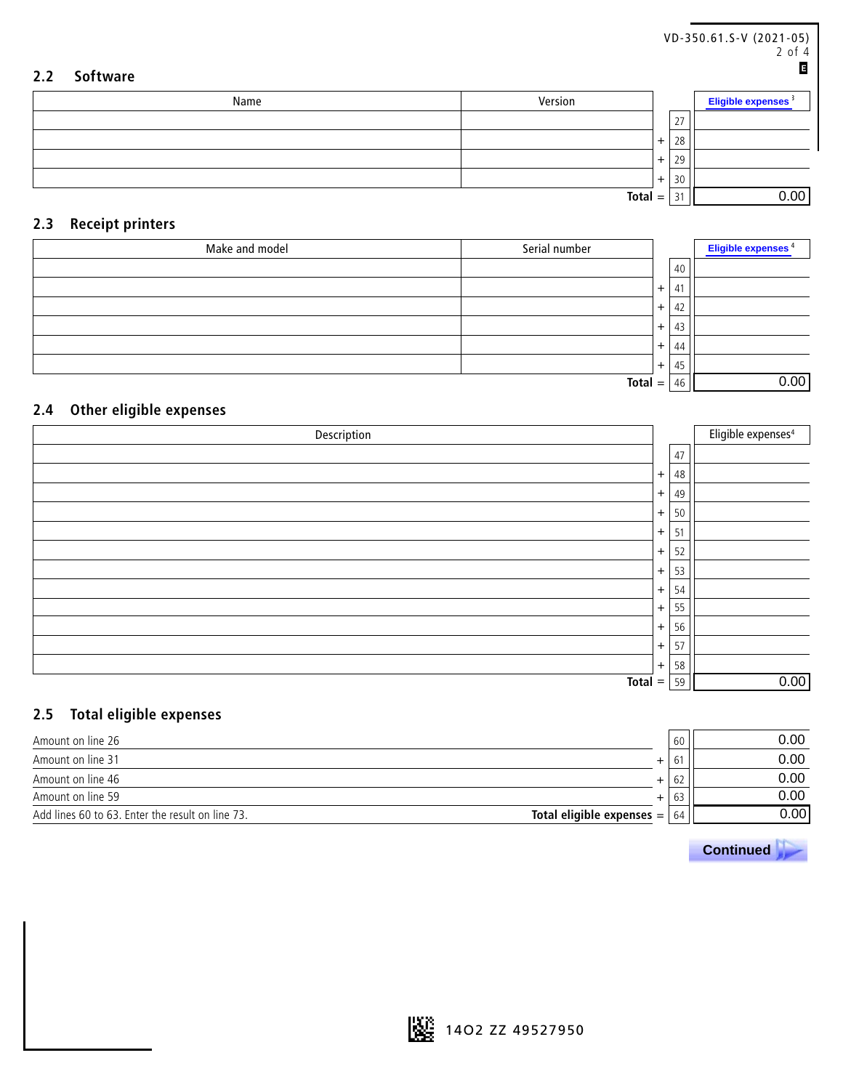| 2.2 | <b>Software</b> |           |     |    | VD-350.61.S-V (2021-05)<br>2 of 4<br>E |
|-----|-----------------|-----------|-----|----|----------------------------------------|
|     | Name            | Version   |     |    | Eligible expenses <sup>3</sup>         |
|     |                 |           |     | 27 |                                        |
|     |                 |           | $+$ | 28 |                                        |
|     |                 |           | $+$ | 29 |                                        |
|     |                 |           | $+$ | 30 |                                        |
|     |                 | $Total =$ |     | 31 | 0.00                                   |

### **2.3 Receipt printers**

| Make and model | Serial number |           |     | Eligible expenses <sup>4</sup> |
|----------------|---------------|-----------|-----|--------------------------------|
|                |               |           | 40  |                                |
|                |               | $\ddot{}$ | -41 |                                |
|                |               | $+$       | 42  |                                |
|                |               | $+$       | 43  |                                |
|                |               | $+$       | 44  |                                |
|                |               | $+$       | 45  |                                |
|                | $Total =$     |           | 46  | 0.00                           |

### **2.4 Other eligible expenses**

| Description |           |    | Eligible expenses <sup>4</sup> |
|-------------|-----------|----|--------------------------------|
|             |           | 47 |                                |
|             | $+$       | 48 |                                |
|             | $+$       | 49 |                                |
|             | $\ddot{}$ | 50 |                                |
|             | $+$       | 51 |                                |
|             | $+$       | 52 |                                |
|             | $+$       | 53 |                                |
|             | $+$       | 54 |                                |
|             | $+$       | 55 |                                |
|             | $\ddot{}$ | 56 |                                |
|             | $+$       | 57 |                                |
|             | $+$       | 58 |                                |
| $Total =$   |           | 59 | 0.00                           |

### **2.5 Total eligible expenses**

| Amount on line 26                                |                                     | 60 | 0.00 |
|--------------------------------------------------|-------------------------------------|----|------|
| Amount on line 31                                | ÷                                   | 61 | 0.00 |
| Amount on line 46                                | ∸                                   | 62 | 0.00 |
| Amount on line 59                                | $+$                                 | 63 | 0.00 |
| Add lines 60 to 63. Enter the result on line 73. | Total eligible expenses $=$ $\vert$ | 64 | 0.00 |

 **Continued .**

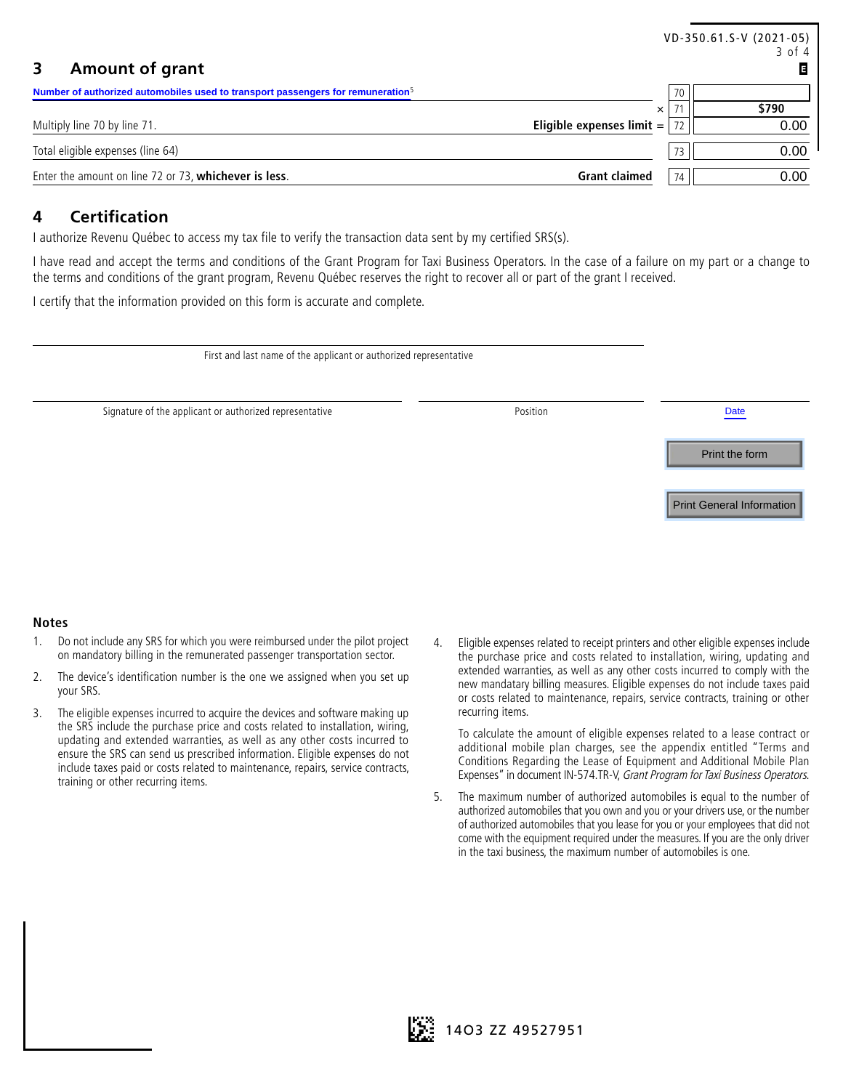|                                                                                                                                                                                                                                                                                         |                             |                | VD-350.61.S-V (2021-05)<br>3 of 4 |
|-----------------------------------------------------------------------------------------------------------------------------------------------------------------------------------------------------------------------------------------------------------------------------------------|-----------------------------|----------------|-----------------------------------|
| <b>Amount of grant</b><br>3                                                                                                                                                                                                                                                             |                             |                | G                                 |
| Number of authorized automobiles used to transport passengers for remuneration <sup>5</sup>                                                                                                                                                                                             |                             | 70             |                                   |
|                                                                                                                                                                                                                                                                                         |                             | 71<br>$\times$ | \$790                             |
| Multiply line 70 by line 71.                                                                                                                                                                                                                                                            | Eligible expenses limit $=$ | -72            | 0.00                              |
| Total eligible expenses (line 64)                                                                                                                                                                                                                                                       |                             | 73             | 0.00                              |
| Enter the amount on line 72 or 73, whichever is less.                                                                                                                                                                                                                                   | <b>Grant claimed</b>        | 74             | 0.00                              |
| <b>Certification</b><br>4<br>l authorize Revenu Québec to access my tax file to verify the transaction data sent by my certified SRS(s).                                                                                                                                                |                             |                |                                   |
| I have read and accept the terms and conditions of the Grant Program for Taxi Business Operators. In the case of a failure on my part or a change to<br>the terms and conditions of the grant program, Revenu Québec reserves the right to recover all or part of the grant I received. |                             |                |                                   |
| I certify that the information provided on this form is accurate and complete.                                                                                                                                                                                                          |                             |                |                                   |
| First and last name of the applicant or authorized representative                                                                                                                                                                                                                       |                             |                |                                   |
| Signature of the applicant or authorized representative                                                                                                                                                                                                                                 | Position                    |                | <b>Date</b>                       |

### **4 Certification**

| Signature of the applicant or authorized representative | Position | Date                             |
|---------------------------------------------------------|----------|----------------------------------|
|                                                         |          | Print the form                   |
|                                                         |          | <b>Print General Information</b> |
|                                                         |          |                                  |

#### **Notes**

- 1. Do not include any SRS for which you were reimbursed under the pilot project on mandatory billing in the remunerated passenger transportation sector.
- 2. The device's identification number is the one we assigned when you set up your SRS.
- 3. The eligible expenses incurred to acquire the devices and software making up the SRS include the purchase price and costs related to installation, wiring, updating and extended warranties, as well as any other costs incurred to ensure the SRS can send us prescribed information. Eligible expenses do not include taxes paid or costs related to maintenance, repairs, service contracts, training or other recurring items.
- 4. Eligible expenses related to receipt printers and other eligible expenses include the purchase price and costs related to installation, wiring, updating and extended warranties, as well as any other costs incurred to comply with the new mandatary billing measures. Eligible expenses do not include taxes paid or costs related to maintenance, repairs, service contracts, training or other recurring items.

To calculate the amount of eligible expenses related to a lease contract or additional mobile plan charges, see the appendix entitled "Terms and Conditions Regarding the Lease of Equipment and Additional Mobile Plan Expenses" in document IN-574.TR-V, Grant Program for Taxi Business Operators.

5. The maximum number of authorized automobiles is equal to the number of authorized automobiles that you own and you or your drivers use, or the number of authorized automobiles that you lease for you or your employees that did not come with the equipment required under the measures. If you are the only driver in the taxi business, the maximum number of automobiles is one.